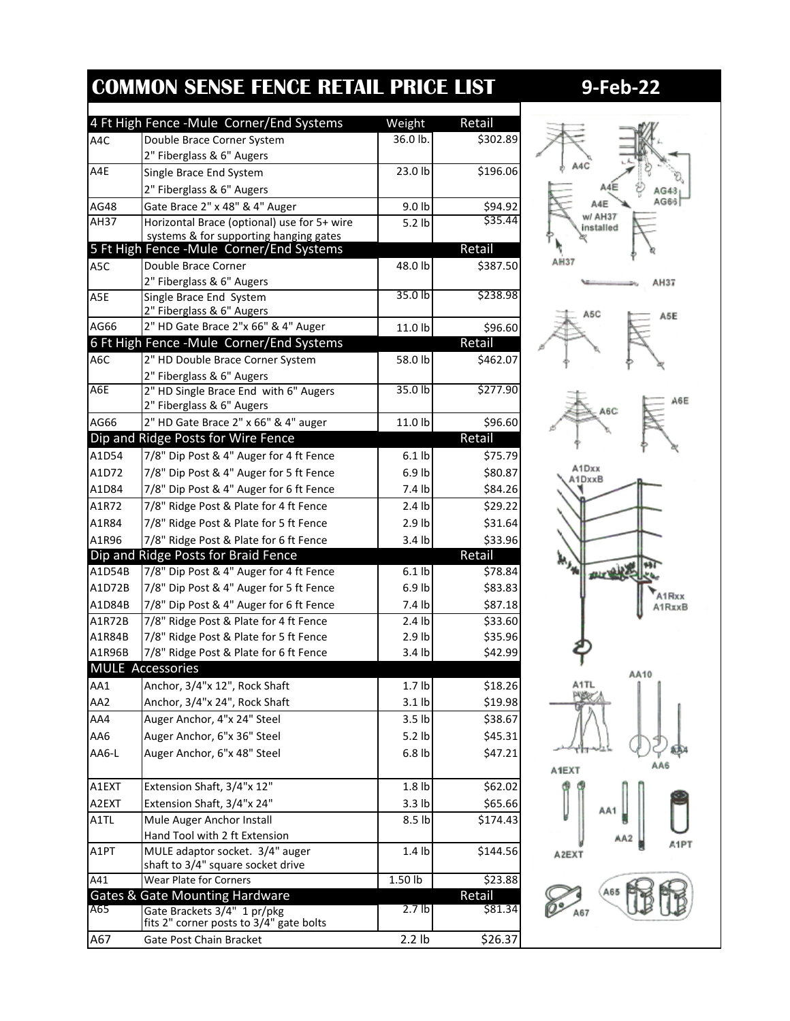| 4 Ft High Fence - Mule Corner/End Systems<br>Weight<br>Retail<br>36.0 lb.<br>Double Brace Corner System<br>\$302.89<br>A4C<br>2" Fiberglass & 6" Augers<br>\$196.06<br>23.0 lb<br>Single Brace End System<br>2" Fiberglass & 6" Augers<br>AG48<br>Gate Brace 2" x 48" & 4" Auger<br>9.0 lb<br>\$94.92<br>\$35.44<br>Horizontal Brace (optional) use for 5+ wire<br>AH37<br>$5.2$ lb<br>systems & for supporting hanging gates<br>Retail<br>5 Ft High Fence - Mule Corner/End Systems<br>Double Brace Corner<br>48.0 lb<br>\$387.50<br>2" Fiberglass & 6" Augers<br>35.0 lb<br>Single Brace End System<br>2" Fiberglass & 6" Augers<br>2" HD Gate Brace 2"x 66" & 4" Auger<br>\$96.60<br>11.0 lb<br>6 Ft High Fence - Mule Corner/End Systems<br>Retail<br>2" HD Double Brace Corner System<br>\$462.07<br>58.0 lb<br>2" Fiberglass & 6" Augers<br>$35.0$ lb<br>\$277.90<br>2" HD Single Brace End with 6" Augers<br>2" Fiberglass & 6" Augers<br>AG66<br>2" HD Gate Brace 2" x 66" & 4" auger<br>\$96.60<br>11.0 lb<br>Dip and Ridge Posts for Wire Fence<br>Retail<br>7/8" Dip Post & 4" Auger for 4 ft Fence<br>$6.1$ lb<br>7/8" Dip Post & 4" Auger for 5 ft Fence<br>$6.9$ lb<br>\$80.87<br>7/8" Dip Post & 4" Auger for 6 ft Fence<br>7.4 lb<br>7/8" Ridge Post & Plate for 4 ft Fence<br>$2.4$ lb<br>\$29.22<br>\$31.64<br>7/8" Ridge Post & Plate for 5 ft Fence<br>$2.9$ lb<br>A1R96<br>7/8" Ridge Post & Plate for 6 ft Fence<br>\$33.96<br>3.4 lb<br>Dip and Ridge Posts for Braid Fence<br>Retail<br>7/8" Dip Post & 4" Auger for 4 ft Fence<br>$6.1$ lb<br>\$78.84<br>7/8" Dip Post & 4" Auger for 5 ft Fence<br>\$83.83<br>$6.9$ lb<br>A1D84B<br>7/8" Dip Post & 4" Auger for 6 ft Fence<br>7.4 lb<br>\$87.18<br>7/8" Ridge Post & Plate for 4 ft Fence<br>A1R72B<br>\$33.60<br>2.4 <sub>lb</sub><br>7/8" Ridge Post & Plate for 5 ft Fence<br>\$35.96<br>A1R84B<br>$2.9$ lb<br>7/8" Ridge Post & Plate for 6 ft Fence<br>3.4 lb<br>\$42.99<br>A1R96B<br><b>MULE Accessories</b><br>Anchor, 3/4"x 12", Rock Shaft<br>1.7 <sub>lb</sub><br>Anchor, 3/4"x 24", Rock Shaft<br>\$19.98<br>AA2<br>$3.1$ lb<br>Auger Anchor, 4"x 24" Steel<br>AA4<br>3.5 <sub>lb</sub><br>\$38.67<br>Auger Anchor, 6"x 36" Steel<br>AA6<br>5.2 lb<br>\$45.31<br>Auger Anchor, 6"x 48" Steel<br>$6.8$ lb<br>\$47.21<br>AA6-L<br>Extension Shaft, 3/4"x 12"<br>1.8 <sub>lb</sub><br>Extension Shaft, 3/4"x 24"<br>3.3 <sub>lb</sub><br>Mule Auger Anchor Install<br>8.5 lb<br>Hand Tool with 2 ft Extension<br>MULE adaptor socket. 3/4" auger<br>1.4 <sub>lb</sub><br>shaft to 3/4" square socket drive<br>$\overline{A41}$<br>Wear Plate for Corners<br>1.50 lb<br>\$23.88<br>Retail<br><b>Gates &amp; Gate Mounting Hardware</b><br>\$81.34<br>A65<br>2.7 <sub>lb</sub><br>Gate Brackets 3/4" 1 pr/pkg<br>fits 2" corner posts to 3/4" gate bolts<br>2.2 lb<br>\$26.37<br>Gate Post Chain Bracket |                 | <b>COMMON SENSE FENCE RETAIL PRICE LIST</b> |          |
|-------------------------------------------------------------------------------------------------------------------------------------------------------------------------------------------------------------------------------------------------------------------------------------------------------------------------------------------------------------------------------------------------------------------------------------------------------------------------------------------------------------------------------------------------------------------------------------------------------------------------------------------------------------------------------------------------------------------------------------------------------------------------------------------------------------------------------------------------------------------------------------------------------------------------------------------------------------------------------------------------------------------------------------------------------------------------------------------------------------------------------------------------------------------------------------------------------------------------------------------------------------------------------------------------------------------------------------------------------------------------------------------------------------------------------------------------------------------------------------------------------------------------------------------------------------------------------------------------------------------------------------------------------------------------------------------------------------------------------------------------------------------------------------------------------------------------------------------------------------------------------------------------------------------------------------------------------------------------------------------------------------------------------------------------------------------------------------------------------------------------------------------------------------------------------------------------------------------------------------------------------------------------------------------------------------------------------------------------------------------------------------------------------------------------------------------------------------------------------------------------------------------------------------------------------------------------------------------------------------------------------------------------------------------------------------------------------------------------------------------------------------------------------------------------------------------------------------------------------------------------------------------|-----------------|---------------------------------------------|----------|
|                                                                                                                                                                                                                                                                                                                                                                                                                                                                                                                                                                                                                                                                                                                                                                                                                                                                                                                                                                                                                                                                                                                                                                                                                                                                                                                                                                                                                                                                                                                                                                                                                                                                                                                                                                                                                                                                                                                                                                                                                                                                                                                                                                                                                                                                                                                                                                                                                                                                                                                                                                                                                                                                                                                                                                                                                                                                                           |                 |                                             |          |
|                                                                                                                                                                                                                                                                                                                                                                                                                                                                                                                                                                                                                                                                                                                                                                                                                                                                                                                                                                                                                                                                                                                                                                                                                                                                                                                                                                                                                                                                                                                                                                                                                                                                                                                                                                                                                                                                                                                                                                                                                                                                                                                                                                                                                                                                                                                                                                                                                                                                                                                                                                                                                                                                                                                                                                                                                                                                                           |                 |                                             |          |
|                                                                                                                                                                                                                                                                                                                                                                                                                                                                                                                                                                                                                                                                                                                                                                                                                                                                                                                                                                                                                                                                                                                                                                                                                                                                                                                                                                                                                                                                                                                                                                                                                                                                                                                                                                                                                                                                                                                                                                                                                                                                                                                                                                                                                                                                                                                                                                                                                                                                                                                                                                                                                                                                                                                                                                                                                                                                                           |                 |                                             |          |
|                                                                                                                                                                                                                                                                                                                                                                                                                                                                                                                                                                                                                                                                                                                                                                                                                                                                                                                                                                                                                                                                                                                                                                                                                                                                                                                                                                                                                                                                                                                                                                                                                                                                                                                                                                                                                                                                                                                                                                                                                                                                                                                                                                                                                                                                                                                                                                                                                                                                                                                                                                                                                                                                                                                                                                                                                                                                                           | A4E             |                                             |          |
|                                                                                                                                                                                                                                                                                                                                                                                                                                                                                                                                                                                                                                                                                                                                                                                                                                                                                                                                                                                                                                                                                                                                                                                                                                                                                                                                                                                                                                                                                                                                                                                                                                                                                                                                                                                                                                                                                                                                                                                                                                                                                                                                                                                                                                                                                                                                                                                                                                                                                                                                                                                                                                                                                                                                                                                                                                                                                           |                 |                                             |          |
|                                                                                                                                                                                                                                                                                                                                                                                                                                                                                                                                                                                                                                                                                                                                                                                                                                                                                                                                                                                                                                                                                                                                                                                                                                                                                                                                                                                                                                                                                                                                                                                                                                                                                                                                                                                                                                                                                                                                                                                                                                                                                                                                                                                                                                                                                                                                                                                                                                                                                                                                                                                                                                                                                                                                                                                                                                                                                           |                 |                                             |          |
|                                                                                                                                                                                                                                                                                                                                                                                                                                                                                                                                                                                                                                                                                                                                                                                                                                                                                                                                                                                                                                                                                                                                                                                                                                                                                                                                                                                                                                                                                                                                                                                                                                                                                                                                                                                                                                                                                                                                                                                                                                                                                                                                                                                                                                                                                                                                                                                                                                                                                                                                                                                                                                                                                                                                                                                                                                                                                           |                 |                                             |          |
|                                                                                                                                                                                                                                                                                                                                                                                                                                                                                                                                                                                                                                                                                                                                                                                                                                                                                                                                                                                                                                                                                                                                                                                                                                                                                                                                                                                                                                                                                                                                                                                                                                                                                                                                                                                                                                                                                                                                                                                                                                                                                                                                                                                                                                                                                                                                                                                                                                                                                                                                                                                                                                                                                                                                                                                                                                                                                           |                 |                                             |          |
|                                                                                                                                                                                                                                                                                                                                                                                                                                                                                                                                                                                                                                                                                                                                                                                                                                                                                                                                                                                                                                                                                                                                                                                                                                                                                                                                                                                                                                                                                                                                                                                                                                                                                                                                                                                                                                                                                                                                                                                                                                                                                                                                                                                                                                                                                                                                                                                                                                                                                                                                                                                                                                                                                                                                                                                                                                                                                           |                 |                                             |          |
|                                                                                                                                                                                                                                                                                                                                                                                                                                                                                                                                                                                                                                                                                                                                                                                                                                                                                                                                                                                                                                                                                                                                                                                                                                                                                                                                                                                                                                                                                                                                                                                                                                                                                                                                                                                                                                                                                                                                                                                                                                                                                                                                                                                                                                                                                                                                                                                                                                                                                                                                                                                                                                                                                                                                                                                                                                                                                           | A5C             |                                             |          |
|                                                                                                                                                                                                                                                                                                                                                                                                                                                                                                                                                                                                                                                                                                                                                                                                                                                                                                                                                                                                                                                                                                                                                                                                                                                                                                                                                                                                                                                                                                                                                                                                                                                                                                                                                                                                                                                                                                                                                                                                                                                                                                                                                                                                                                                                                                                                                                                                                                                                                                                                                                                                                                                                                                                                                                                                                                                                                           |                 |                                             |          |
|                                                                                                                                                                                                                                                                                                                                                                                                                                                                                                                                                                                                                                                                                                                                                                                                                                                                                                                                                                                                                                                                                                                                                                                                                                                                                                                                                                                                                                                                                                                                                                                                                                                                                                                                                                                                                                                                                                                                                                                                                                                                                                                                                                                                                                                                                                                                                                                                                                                                                                                                                                                                                                                                                                                                                                                                                                                                                           | A <sub>5E</sub> |                                             | \$238.98 |
|                                                                                                                                                                                                                                                                                                                                                                                                                                                                                                                                                                                                                                                                                                                                                                                                                                                                                                                                                                                                                                                                                                                                                                                                                                                                                                                                                                                                                                                                                                                                                                                                                                                                                                                                                                                                                                                                                                                                                                                                                                                                                                                                                                                                                                                                                                                                                                                                                                                                                                                                                                                                                                                                                                                                                                                                                                                                                           |                 |                                             |          |
|                                                                                                                                                                                                                                                                                                                                                                                                                                                                                                                                                                                                                                                                                                                                                                                                                                                                                                                                                                                                                                                                                                                                                                                                                                                                                                                                                                                                                                                                                                                                                                                                                                                                                                                                                                                                                                                                                                                                                                                                                                                                                                                                                                                                                                                                                                                                                                                                                                                                                                                                                                                                                                                                                                                                                                                                                                                                                           | AG66            |                                             |          |
|                                                                                                                                                                                                                                                                                                                                                                                                                                                                                                                                                                                                                                                                                                                                                                                                                                                                                                                                                                                                                                                                                                                                                                                                                                                                                                                                                                                                                                                                                                                                                                                                                                                                                                                                                                                                                                                                                                                                                                                                                                                                                                                                                                                                                                                                                                                                                                                                                                                                                                                                                                                                                                                                                                                                                                                                                                                                                           |                 |                                             |          |
|                                                                                                                                                                                                                                                                                                                                                                                                                                                                                                                                                                                                                                                                                                                                                                                                                                                                                                                                                                                                                                                                                                                                                                                                                                                                                                                                                                                                                                                                                                                                                                                                                                                                                                                                                                                                                                                                                                                                                                                                                                                                                                                                                                                                                                                                                                                                                                                                                                                                                                                                                                                                                                                                                                                                                                                                                                                                                           | A6C             |                                             |          |
|                                                                                                                                                                                                                                                                                                                                                                                                                                                                                                                                                                                                                                                                                                                                                                                                                                                                                                                                                                                                                                                                                                                                                                                                                                                                                                                                                                                                                                                                                                                                                                                                                                                                                                                                                                                                                                                                                                                                                                                                                                                                                                                                                                                                                                                                                                                                                                                                                                                                                                                                                                                                                                                                                                                                                                                                                                                                                           |                 |                                             |          |
|                                                                                                                                                                                                                                                                                                                                                                                                                                                                                                                                                                                                                                                                                                                                                                                                                                                                                                                                                                                                                                                                                                                                                                                                                                                                                                                                                                                                                                                                                                                                                                                                                                                                                                                                                                                                                                                                                                                                                                                                                                                                                                                                                                                                                                                                                                                                                                                                                                                                                                                                                                                                                                                                                                                                                                                                                                                                                           | A6E             |                                             |          |
|                                                                                                                                                                                                                                                                                                                                                                                                                                                                                                                                                                                                                                                                                                                                                                                                                                                                                                                                                                                                                                                                                                                                                                                                                                                                                                                                                                                                                                                                                                                                                                                                                                                                                                                                                                                                                                                                                                                                                                                                                                                                                                                                                                                                                                                                                                                                                                                                                                                                                                                                                                                                                                                                                                                                                                                                                                                                                           |                 |                                             |          |
|                                                                                                                                                                                                                                                                                                                                                                                                                                                                                                                                                                                                                                                                                                                                                                                                                                                                                                                                                                                                                                                                                                                                                                                                                                                                                                                                                                                                                                                                                                                                                                                                                                                                                                                                                                                                                                                                                                                                                                                                                                                                                                                                                                                                                                                                                                                                                                                                                                                                                                                                                                                                                                                                                                                                                                                                                                                                                           |                 |                                             |          |
|                                                                                                                                                                                                                                                                                                                                                                                                                                                                                                                                                                                                                                                                                                                                                                                                                                                                                                                                                                                                                                                                                                                                                                                                                                                                                                                                                                                                                                                                                                                                                                                                                                                                                                                                                                                                                                                                                                                                                                                                                                                                                                                                                                                                                                                                                                                                                                                                                                                                                                                                                                                                                                                                                                                                                                                                                                                                                           |                 |                                             |          |
|                                                                                                                                                                                                                                                                                                                                                                                                                                                                                                                                                                                                                                                                                                                                                                                                                                                                                                                                                                                                                                                                                                                                                                                                                                                                                                                                                                                                                                                                                                                                                                                                                                                                                                                                                                                                                                                                                                                                                                                                                                                                                                                                                                                                                                                                                                                                                                                                                                                                                                                                                                                                                                                                                                                                                                                                                                                                                           | A1D54           |                                             | \$75.79  |
|                                                                                                                                                                                                                                                                                                                                                                                                                                                                                                                                                                                                                                                                                                                                                                                                                                                                                                                                                                                                                                                                                                                                                                                                                                                                                                                                                                                                                                                                                                                                                                                                                                                                                                                                                                                                                                                                                                                                                                                                                                                                                                                                                                                                                                                                                                                                                                                                                                                                                                                                                                                                                                                                                                                                                                                                                                                                                           | A1D72           |                                             |          |
|                                                                                                                                                                                                                                                                                                                                                                                                                                                                                                                                                                                                                                                                                                                                                                                                                                                                                                                                                                                                                                                                                                                                                                                                                                                                                                                                                                                                                                                                                                                                                                                                                                                                                                                                                                                                                                                                                                                                                                                                                                                                                                                                                                                                                                                                                                                                                                                                                                                                                                                                                                                                                                                                                                                                                                                                                                                                                           | A1D84           |                                             | \$84.26  |
|                                                                                                                                                                                                                                                                                                                                                                                                                                                                                                                                                                                                                                                                                                                                                                                                                                                                                                                                                                                                                                                                                                                                                                                                                                                                                                                                                                                                                                                                                                                                                                                                                                                                                                                                                                                                                                                                                                                                                                                                                                                                                                                                                                                                                                                                                                                                                                                                                                                                                                                                                                                                                                                                                                                                                                                                                                                                                           | A1R72           |                                             |          |
|                                                                                                                                                                                                                                                                                                                                                                                                                                                                                                                                                                                                                                                                                                                                                                                                                                                                                                                                                                                                                                                                                                                                                                                                                                                                                                                                                                                                                                                                                                                                                                                                                                                                                                                                                                                                                                                                                                                                                                                                                                                                                                                                                                                                                                                                                                                                                                                                                                                                                                                                                                                                                                                                                                                                                                                                                                                                                           | A1R84           |                                             |          |
|                                                                                                                                                                                                                                                                                                                                                                                                                                                                                                                                                                                                                                                                                                                                                                                                                                                                                                                                                                                                                                                                                                                                                                                                                                                                                                                                                                                                                                                                                                                                                                                                                                                                                                                                                                                                                                                                                                                                                                                                                                                                                                                                                                                                                                                                                                                                                                                                                                                                                                                                                                                                                                                                                                                                                                                                                                                                                           |                 |                                             |          |
|                                                                                                                                                                                                                                                                                                                                                                                                                                                                                                                                                                                                                                                                                                                                                                                                                                                                                                                                                                                                                                                                                                                                                                                                                                                                                                                                                                                                                                                                                                                                                                                                                                                                                                                                                                                                                                                                                                                                                                                                                                                                                                                                                                                                                                                                                                                                                                                                                                                                                                                                                                                                                                                                                                                                                                                                                                                                                           |                 |                                             |          |
|                                                                                                                                                                                                                                                                                                                                                                                                                                                                                                                                                                                                                                                                                                                                                                                                                                                                                                                                                                                                                                                                                                                                                                                                                                                                                                                                                                                                                                                                                                                                                                                                                                                                                                                                                                                                                                                                                                                                                                                                                                                                                                                                                                                                                                                                                                                                                                                                                                                                                                                                                                                                                                                                                                                                                                                                                                                                                           | A1D54B          |                                             |          |
|                                                                                                                                                                                                                                                                                                                                                                                                                                                                                                                                                                                                                                                                                                                                                                                                                                                                                                                                                                                                                                                                                                                                                                                                                                                                                                                                                                                                                                                                                                                                                                                                                                                                                                                                                                                                                                                                                                                                                                                                                                                                                                                                                                                                                                                                                                                                                                                                                                                                                                                                                                                                                                                                                                                                                                                                                                                                                           | A1D72B          |                                             |          |
|                                                                                                                                                                                                                                                                                                                                                                                                                                                                                                                                                                                                                                                                                                                                                                                                                                                                                                                                                                                                                                                                                                                                                                                                                                                                                                                                                                                                                                                                                                                                                                                                                                                                                                                                                                                                                                                                                                                                                                                                                                                                                                                                                                                                                                                                                                                                                                                                                                                                                                                                                                                                                                                                                                                                                                                                                                                                                           |                 |                                             |          |
|                                                                                                                                                                                                                                                                                                                                                                                                                                                                                                                                                                                                                                                                                                                                                                                                                                                                                                                                                                                                                                                                                                                                                                                                                                                                                                                                                                                                                                                                                                                                                                                                                                                                                                                                                                                                                                                                                                                                                                                                                                                                                                                                                                                                                                                                                                                                                                                                                                                                                                                                                                                                                                                                                                                                                                                                                                                                                           |                 |                                             |          |
|                                                                                                                                                                                                                                                                                                                                                                                                                                                                                                                                                                                                                                                                                                                                                                                                                                                                                                                                                                                                                                                                                                                                                                                                                                                                                                                                                                                                                                                                                                                                                                                                                                                                                                                                                                                                                                                                                                                                                                                                                                                                                                                                                                                                                                                                                                                                                                                                                                                                                                                                                                                                                                                                                                                                                                                                                                                                                           |                 |                                             |          |
|                                                                                                                                                                                                                                                                                                                                                                                                                                                                                                                                                                                                                                                                                                                                                                                                                                                                                                                                                                                                                                                                                                                                                                                                                                                                                                                                                                                                                                                                                                                                                                                                                                                                                                                                                                                                                                                                                                                                                                                                                                                                                                                                                                                                                                                                                                                                                                                                                                                                                                                                                                                                                                                                                                                                                                                                                                                                                           |                 |                                             |          |
|                                                                                                                                                                                                                                                                                                                                                                                                                                                                                                                                                                                                                                                                                                                                                                                                                                                                                                                                                                                                                                                                                                                                                                                                                                                                                                                                                                                                                                                                                                                                                                                                                                                                                                                                                                                                                                                                                                                                                                                                                                                                                                                                                                                                                                                                                                                                                                                                                                                                                                                                                                                                                                                                                                                                                                                                                                                                                           |                 |                                             |          |
|                                                                                                                                                                                                                                                                                                                                                                                                                                                                                                                                                                                                                                                                                                                                                                                                                                                                                                                                                                                                                                                                                                                                                                                                                                                                                                                                                                                                                                                                                                                                                                                                                                                                                                                                                                                                                                                                                                                                                                                                                                                                                                                                                                                                                                                                                                                                                                                                                                                                                                                                                                                                                                                                                                                                                                                                                                                                                           | AA1             |                                             | \$18.26  |
|                                                                                                                                                                                                                                                                                                                                                                                                                                                                                                                                                                                                                                                                                                                                                                                                                                                                                                                                                                                                                                                                                                                                                                                                                                                                                                                                                                                                                                                                                                                                                                                                                                                                                                                                                                                                                                                                                                                                                                                                                                                                                                                                                                                                                                                                                                                                                                                                                                                                                                                                                                                                                                                                                                                                                                                                                                                                                           |                 |                                             |          |
|                                                                                                                                                                                                                                                                                                                                                                                                                                                                                                                                                                                                                                                                                                                                                                                                                                                                                                                                                                                                                                                                                                                                                                                                                                                                                                                                                                                                                                                                                                                                                                                                                                                                                                                                                                                                                                                                                                                                                                                                                                                                                                                                                                                                                                                                                                                                                                                                                                                                                                                                                                                                                                                                                                                                                                                                                                                                                           |                 |                                             |          |
|                                                                                                                                                                                                                                                                                                                                                                                                                                                                                                                                                                                                                                                                                                                                                                                                                                                                                                                                                                                                                                                                                                                                                                                                                                                                                                                                                                                                                                                                                                                                                                                                                                                                                                                                                                                                                                                                                                                                                                                                                                                                                                                                                                                                                                                                                                                                                                                                                                                                                                                                                                                                                                                                                                                                                                                                                                                                                           |                 |                                             |          |
|                                                                                                                                                                                                                                                                                                                                                                                                                                                                                                                                                                                                                                                                                                                                                                                                                                                                                                                                                                                                                                                                                                                                                                                                                                                                                                                                                                                                                                                                                                                                                                                                                                                                                                                                                                                                                                                                                                                                                                                                                                                                                                                                                                                                                                                                                                                                                                                                                                                                                                                                                                                                                                                                                                                                                                                                                                                                                           |                 |                                             |          |
|                                                                                                                                                                                                                                                                                                                                                                                                                                                                                                                                                                                                                                                                                                                                                                                                                                                                                                                                                                                                                                                                                                                                                                                                                                                                                                                                                                                                                                                                                                                                                                                                                                                                                                                                                                                                                                                                                                                                                                                                                                                                                                                                                                                                                                                                                                                                                                                                                                                                                                                                                                                                                                                                                                                                                                                                                                                                                           |                 |                                             |          |
|                                                                                                                                                                                                                                                                                                                                                                                                                                                                                                                                                                                                                                                                                                                                                                                                                                                                                                                                                                                                                                                                                                                                                                                                                                                                                                                                                                                                                                                                                                                                                                                                                                                                                                                                                                                                                                                                                                                                                                                                                                                                                                                                                                                                                                                                                                                                                                                                                                                                                                                                                                                                                                                                                                                                                                                                                                                                                           | A1EXT           |                                             | \$62.02  |
|                                                                                                                                                                                                                                                                                                                                                                                                                                                                                                                                                                                                                                                                                                                                                                                                                                                                                                                                                                                                                                                                                                                                                                                                                                                                                                                                                                                                                                                                                                                                                                                                                                                                                                                                                                                                                                                                                                                                                                                                                                                                                                                                                                                                                                                                                                                                                                                                                                                                                                                                                                                                                                                                                                                                                                                                                                                                                           | A2EXT           |                                             | \$65.66  |
|                                                                                                                                                                                                                                                                                                                                                                                                                                                                                                                                                                                                                                                                                                                                                                                                                                                                                                                                                                                                                                                                                                                                                                                                                                                                                                                                                                                                                                                                                                                                                                                                                                                                                                                                                                                                                                                                                                                                                                                                                                                                                                                                                                                                                                                                                                                                                                                                                                                                                                                                                                                                                                                                                                                                                                                                                                                                                           | A1TL            |                                             | \$174.43 |
|                                                                                                                                                                                                                                                                                                                                                                                                                                                                                                                                                                                                                                                                                                                                                                                                                                                                                                                                                                                                                                                                                                                                                                                                                                                                                                                                                                                                                                                                                                                                                                                                                                                                                                                                                                                                                                                                                                                                                                                                                                                                                                                                                                                                                                                                                                                                                                                                                                                                                                                                                                                                                                                                                                                                                                                                                                                                                           |                 |                                             |          |
|                                                                                                                                                                                                                                                                                                                                                                                                                                                                                                                                                                                                                                                                                                                                                                                                                                                                                                                                                                                                                                                                                                                                                                                                                                                                                                                                                                                                                                                                                                                                                                                                                                                                                                                                                                                                                                                                                                                                                                                                                                                                                                                                                                                                                                                                                                                                                                                                                                                                                                                                                                                                                                                                                                                                                                                                                                                                                           | A1PT            |                                             | \$144.56 |
|                                                                                                                                                                                                                                                                                                                                                                                                                                                                                                                                                                                                                                                                                                                                                                                                                                                                                                                                                                                                                                                                                                                                                                                                                                                                                                                                                                                                                                                                                                                                                                                                                                                                                                                                                                                                                                                                                                                                                                                                                                                                                                                                                                                                                                                                                                                                                                                                                                                                                                                                                                                                                                                                                                                                                                                                                                                                                           |                 |                                             |          |
|                                                                                                                                                                                                                                                                                                                                                                                                                                                                                                                                                                                                                                                                                                                                                                                                                                                                                                                                                                                                                                                                                                                                                                                                                                                                                                                                                                                                                                                                                                                                                                                                                                                                                                                                                                                                                                                                                                                                                                                                                                                                                                                                                                                                                                                                                                                                                                                                                                                                                                                                                                                                                                                                                                                                                                                                                                                                                           |                 |                                             |          |
|                                                                                                                                                                                                                                                                                                                                                                                                                                                                                                                                                                                                                                                                                                                                                                                                                                                                                                                                                                                                                                                                                                                                                                                                                                                                                                                                                                                                                                                                                                                                                                                                                                                                                                                                                                                                                                                                                                                                                                                                                                                                                                                                                                                                                                                                                                                                                                                                                                                                                                                                                                                                                                                                                                                                                                                                                                                                                           |                 |                                             |          |
|                                                                                                                                                                                                                                                                                                                                                                                                                                                                                                                                                                                                                                                                                                                                                                                                                                                                                                                                                                                                                                                                                                                                                                                                                                                                                                                                                                                                                                                                                                                                                                                                                                                                                                                                                                                                                                                                                                                                                                                                                                                                                                                                                                                                                                                                                                                                                                                                                                                                                                                                                                                                                                                                                                                                                                                                                                                                                           |                 |                                             |          |
|                                                                                                                                                                                                                                                                                                                                                                                                                                                                                                                                                                                                                                                                                                                                                                                                                                                                                                                                                                                                                                                                                                                                                                                                                                                                                                                                                                                                                                                                                                                                                                                                                                                                                                                                                                                                                                                                                                                                                                                                                                                                                                                                                                                                                                                                                                                                                                                                                                                                                                                                                                                                                                                                                                                                                                                                                                                                                           | A67             |                                             |          |



## **COMMON SENSE FENCE RETAIL PRICE LIST 9-Feb-22**